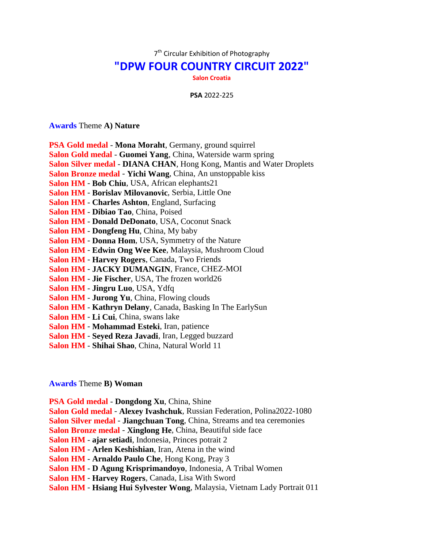7<sup>th</sup> Circular Exhibition of Photography

## **"DPW FOUR COUNTRY CIRCUIT 2022"**

**Salon Croatia**

**PSA** 2022-225

## **Awards** Theme **A) Nature**

|  |  |  |  |  | PSA Gold medal - Mona Moraht, Germany, ground squirrel |  |  |
|--|--|--|--|--|--------------------------------------------------------|--|--|
|--|--|--|--|--|--------------------------------------------------------|--|--|

- **Salon Gold medal Guomei Yang**, China, Waterside warm spring
- **Salon Silver medal DIANA CHAN**, Hong Kong, Mantis and Water Droplets
- **Salon Bronze medal Yichi Wang**, China, An unstoppable kiss
- **Salon HM Bob Chiu**, USA, African elephants21
- **Salon HM Borislav Milovanovic**, Serbia, Little One
- **Salon HM Charles Ashton**, England, Surfacing
- **Salon HM Dibiao Tao**, China, Poised
- **Salon HM Donald DeDonato**, USA, Coconut Snack
- **Salon HM Dongfeng Hu**, China, My baby
- **Salon HM Donna Hom**, USA, Symmetry of the Nature
- **Salon HM Edwin Ong Wee Kee**, Malaysia, Mushroom Cloud
- **Salon HM Harvey Rogers**, Canada, Two Friends
- **Salon HM JACKY DUMANGIN**, France, CHEZ-MOI
- **Salon HM Jie Fischer**, USA, The frozen world26
- **Salon HM Jingru Luo**, USA, Ydfq
- **Salon HM Jurong Yu**, China, Flowing clouds
- **Salon HM Kathryn Delany**, Canada, Basking In The EarlySun
- **Salon HM Li Cui**, China, swans lake
- **Salon HM Mohammad Esteki**, Iran, patience
- **Salon HM Seyed Reza Javadi**, Iran, Legged buzzard
- **Salon HM Shihai Shao**, China, Natural World 11

## **Awards** Theme **B) Woman**

**PSA Gold medal** - **Dongdong Xu**, China, Shine

**Salon Gold medal** - **Alexey Ivashchuk**, Russian Federation, Polina2022-1080

- **Salon Silver medal Jiangchuan Tong**, China, Streams and tea ceremonies
- **Salon Bronze medal Xinglong He**, China, Beautiful side face
- **Salon HM ajar setiadi**, Indonesia, Princes potrait 2
- **Salon HM Arlen Keshishian**, Iran, Atena in the wind
- **Salon HM Arnaldo Paulo Che**, Hong Kong, Pray 3
- **Salon HM D Agung Krisprimandoyo**, Indonesia, A Tribal Women
- **Salon HM Harvey Rogers**, Canada, Lisa With Sword
- **Salon HM Hsiang Hui Sylvester Wong**, Malaysia, Vietnam Lady Portrait 011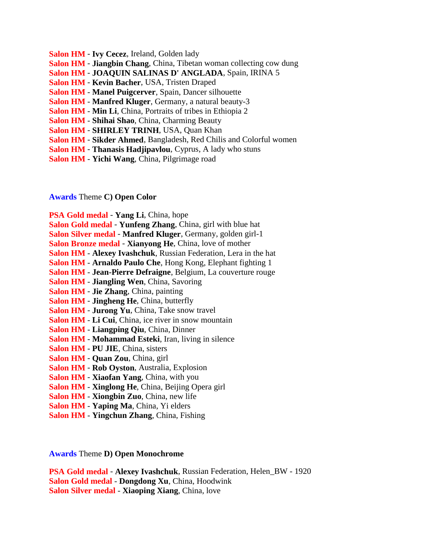- **Salon HM Ivy Cecez**, Ireland, Golden lady
- **Salon HM Jiangbin Chang**, China, Tibetan woman collecting cow dung
- **Salon HM JOAQUIN SALINAS D' ANGLADA**, Spain, IRINA 5
- **Salon HM Kevin Bacher**, USA, Tristen Draped
- **Salon HM Manel Puigcerver**, Spain, Dancer silhouette
- **Salon HM Manfred Kluger**, Germany, a natural beauty-3
- **Salon HM Min Li**, China, Portraits of tribes in Ethiopia 2
- **Salon HM Shihai Shao**, China, Charming Beauty
- **Salon HM SHIRLEY TRINH**, USA, Quan Khan
- **Salon HM Sikder Ahmed**, Bangladesh, Red Chilis and Colorful women
- **Salon HM Thanasis Hadjipavlou**, Cyprus, A lady who stuns
- **Salon HM Yichi Wang**, China, Pilgrimage road

**Awards** Theme **C) Open Color**

**PSA Gold medal** - **Yang Li**, China, hope

- **Salon Gold medal Yunfeng Zhang**, China, girl with blue hat
- **Salon Silver medal Manfred Kluger**, Germany, golden girl-1

**Salon Bronze medal** - **Xianyong He**, China, love of mother

**Salon HM** - **Alexey Ivashchuk**, Russian Federation, Lera in the hat

- **Salon HM Arnaldo Paulo Che**, Hong Kong, Elephant fighting 1
- **Salon HM Jean-Pierre Defraigne**, Belgium, La couverture rouge
- **Salon HM Jiangling Wen**, China, Savoring
- **Salon HM Jie Zhang**, China, painting
- **Salon HM Jingheng He**, China, butterfly
- **Salon HM Jurong Yu**, China, Take snow travel
- **Salon HM Li Cui**, China, ice river in snow mountain
- **Salon HM Liangping Qiu**, China, Dinner
- **Salon HM Mohammad Esteki**, Iran, living in silence
- **Salon HM PU JIE**, China, sisters
- **Salon HM Quan Zou**, China, girl
- **Salon HM Rob Oyston**, Australia, Explosion
- **Salon HM Xiaofan Yang**, China, with you
- **Salon HM Xinglong He**, China, Beijing Opera girl
- **Salon HM Xiongbin Zuo**, China, new life
- **Salon HM Yaping Ma**, China, Yi elders
- **Salon HM Yingchun Zhang**, China, Fishing

**Awards** Theme **D) Open Monochrome**

**PSA Gold medal** - **Alexey Ivashchuk**, Russian Federation, Helen\_BW - 1920 **Salon Gold medal** - **Dongdong Xu**, China, Hoodwink **Salon Silver medal** - **Xiaoping Xiang**, China, love